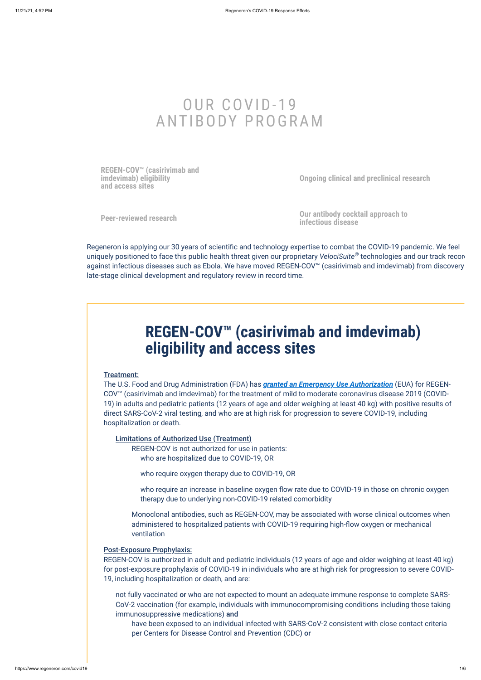# OUR COVID-19 ANTIBODY PROGRAM

**[REGEN-COV™ \(casirivimab and](#page-0-0) imdevimab) eligibility and access sites**

**[Ongoing clinical and preclinical research](#page-1-0)**

**[Peer-reviewed research](#page-2-0) [Our antibody cocktail approach to](#page-3-0) infectious disease**

<span id="page-0-0"></span>Regeneron is applying our 30 years of scientific and technology expertise to combat the COVID-19 pandemic. We feel uniquely positioned to face this public health threat given our proprietary *VelociSuite®* technologies and our track recor against infectious diseases such as Ebola. We have moved REGEN-COV™ (casirivimab and imdevimab) from discovery late-stage clinical development and regulatory review in record time.

# **REGEN-COV™ (casirivimab and imdevimab) eligibility and access sites**

#### Treatment:

The U.S. Food and Drug Administration (FDA) has *[granted an Emergency Use Authorization](https://www.regeneroneua.com/)* (EUA) for REGEN-COV™ (casirivimab and imdevimab) for the treatment of mild to moderate coronavirus disease 2019 (COVID-19) in adults and pediatric patients (12 years of age and older weighing at least 40 kg) with positive results of direct SARS-CoV-2 viral testing, and who are at high risk for progression to severe COVID-19, including hospitalization or death.

### Post-Exposure Prophylaxis:

REGEN-COV is authorized in adult and pediatric individuals (12 years of age and older weighing at least 40 kg) for post-exposure prophylaxis of COVID-19 in individuals who are at high risk for progression to severe COVID-19, including hospitalization or death, and are:

Limitations of Authorized Use (Treatment)

REGEN-COV is not authorized for use in patients: who are hospitalized due to COVID-19, OR

who require oxygen therapy due to COVID-19, OR

who require an increase in baseline oxygen flow rate due to COVID-19 in those on chronic oxygen therapy due to underlying non-COVID-19 related comorbidity

Monoclonal antibodies, such as REGEN-COV, may be associated with worse clinical outcomes when administered to hospitalized patients with COVID-19 requiring high-flow oxygen or mechanical ventilation

not fully vaccinated or who are not expected to mount an adequate immune response to complete SARS-CoV-2 vaccination (for example, individuals with immunocompromising conditions including those taking immunosuppressive medications) and

have been exposed to an individual infected with SARS-CoV-2 consistent with close contact criteria per Centers for Disease Control and Prevention (CDC) or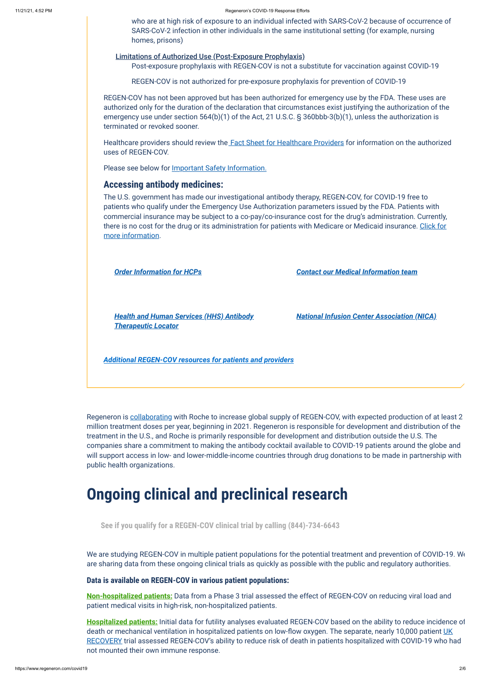#### 11/21/21, 4:52 PM Regeneron's COVID-19 Response Efforts

REGEN-COV has not been approved but has been authorized for emergency use by the FDA. These uses are authorized only for the duration of the declaration that circumstances exist justifying the authorization of the emergency use under section 564(b)(1) of the Act, 21 U.S.C. § 360bbb-3(b)(1), unless the authorization is terminated or revoked sooner.

Healthcare providers should review the [Fact Sheet for Healthcare Providers](https://www.regeneron.com/downloads/treatment-covid19-eua-fact-sheet-for-hcp.pdf) for information on the authorized uses of REGEN-COV.

Please see below for **Important Safety Information**.

who are at high risk of exposure to an individual infected with SARS-CoV-2 because of occurrence of SARS-CoV-2 infection in other individuals in the same institutional setting (for example, nursing homes, prisons)

#### Limitations of Authorized Use (Post-Exposure Prophylaxis)

Post-exposure prophylaxis with REGEN-COV is not a substitute for vaccination against COVID-19

REGEN-COV is not authorized for pre-exposure prophylaxis for prevention of COVID-19

## **Accessing antibody medicines:**

Regeneron is [collaborating](https://investor.regeneron.com/news-releases/news-release-details/regeneron-and-roche-collaborate-significantly-increase-global) with Roche to increase global supply of REGEN-COV, with expected production of at least 2 million treatment doses per year, beginning in 2021. Regeneron is responsible for development and distribution of the treatment in the U.S., and Roche is primarily responsible for development and distribution outside the U.S. The companies share a commitment to making the antibody cocktail available to COVID-19 patients around the globe and will support access in low- and lower-middle-income countries through drug donations to be made in partnership with public health organizations.

The U.S. government has made our investigational antibody therapy, REGEN-COV, for COVID-19 free to patients who qualify under the Emergency Use Authorization parameters issued by the FDA. Patients with commercial insurance may be subject to a co-pay/co-insurance cost for the drug's administration. Currently, [there is no cost for the drug or its administration for patients with Medicare or Medicaid insurance. Click for](https://combatcovid.hhs.gov/i-have-covid-19-now/monoclonal-antibodies-high-risk-covid-19-positive-patients) more information.

We are studying REGEN-COV in multiple patient populations for the potential treatment and prevention of COVID-19. We are sharing data from these ongoing clinical trials as quickly as possible with the public and regulatory authorities.

*[Order Information for HCPs](https://app.smartsheet.com/b/form/255d164d67834793b4ab549e160941e8) [Contact our Medical Information team](https://www.regeneron.com/medical-inquiries)*

*Health and Human [Services \(HHS\) Antibody](https://protect-public.hhs.gov/pages/therapeutics-distribution#distribution-locations) Therapeutic Locator*

*[National Infusion Center Association \(NICA\)](https://covid.infusioncenter.org/)*

*[Additional REGEN-COV resources for](https://www.regeneroneua.com/) patients and providers*

# <span id="page-1-0"></span>**Ongoing clinical and preclinical research**

## **Data is available on REGEN-COV in various patient populations:**

**[Non-hospitalized patients:](https://investor.regeneron.com/news-releases/news-release-details/phase-3-trial-shows-regen-covtm-casirivimab-imdevimab-antibody)** Data from a Phase 3 trial assessed the effect of REGEN-COV on reducing viral load and patient medical visits in high-risk, non-hospitalized patients.

**[Hospitalized patients:](https://investor.regeneron.com/news-releases/news-release-details/regeneron-announces-encouraging-initial-data-covid-19-antibody)** Initial data for futility analyses evaluated REGEN-COV based on the ability to reduce incidence of death or mechanical ventilation in hospitalized patients on low-flow oxygen. The separate, nearly 10,000 patient UK [RECOVERY trial assessed REGEN-COV's ability to reduce risk of death in patients hospitalized with COVID-19 who h](https://newsroom.regeneron.com/news-releases/news-release-details/regen-covtm-casirivimab-and-imdevimab-phase-3-recovery-trial)ad not mounted their own immune response.

**See if you qualify for a REGEN-COV clinical trial by calling (844)-734-6643**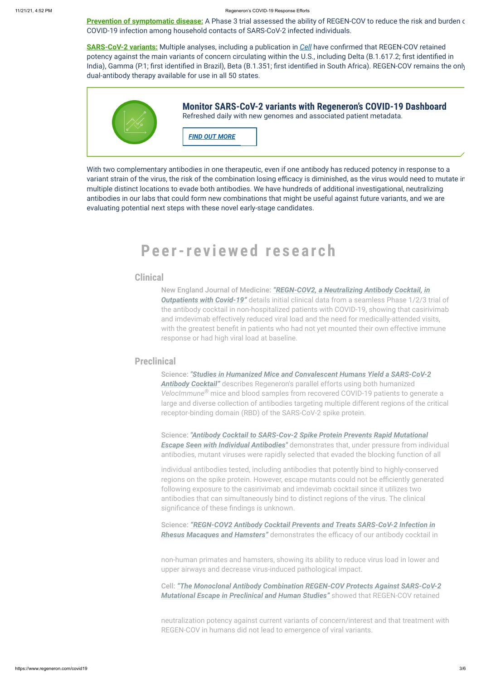**[Prevention of symptomatic disease:](https://investor.regeneron.com/news-releases/news-release-details/phase-3-prevention-trial-showed-81-reduced-risk-symptomatic-sars)** A Phase 3 trial assessed the ability of REGEN-COV to reduce the risk and burden o COVID-19 infection among household contacts of SARS-CoV-2 infected individuals.

**[SARS-CoV-2 variants:](https://newsroom.regeneron.com/news-releases/news-release-details/regen-covtm-antibody-cocktail-active-against-sars-cov-2-variants)** Multiple analyses, including a publication in *[Cell](https://www.cell.com/cell/fulltext/S0092-8674(21)00703-0)* have confirmed that REGEN-COV retained potency against the main variants of concern circulating within the U.S., including Delta (B.1.617.2; first identified in India), Gamma (P.1; first identified in Brazil), Beta (B.1.351; first identified in South Africa). REGEN-COV remains the only dual-antibody therapy available for use in all 50 states.



<span id="page-2-0"></span>With two complementary antibodies in one therapeutic, even if one antibody has reduced potency in response to a variant strain of the virus, the risk of the combination losing efficacy is diminished, as the virus would need to mutate in multiple distinct locations to evade both antibodies. We have hundreds of additional investigational, neutralizing antibodies in our labs that could form new combinations that might be useful against future variants, and we are evaluating potential next steps with these novel early-stage candidates.

# **Pe e r-rev i ewe d re s e a r c h**

## **Clinical**

## **Preclinical**

New England Journal of Medicine: *"REGN-COV2, a Neutralizing Antibody Cocktail, in* **Outpatients with Covid-19"** [details initial clinical data from a seamless Phase 1/2/3 t](https://www.nejm.org/doi/full/10.1056/NEJMoa2035002)rial of the antibody cocktail in non-hospitalized patients with COVID-19, showing that casirivimab and imdevimab effectively reduced viral load and the need for medically-attended visits, with the greatest benefit in patients who had not yet mounted their own effective immune response or had high viral load at baseline.

Science: *["Studies in Humanized Mice and Convalescent Humans Yield a SARS-CoV-2](https://science.sciencemag.org/content/369/6506/1010) Antibody Cocktail"* describes Regeneron's parallel efforts using both humanized VelocImmune<sup>®</sup> mice and blood samples from recovered COVID-19 patients to generate a large and diverse collection of antibodies targeting multiple different regions of the critical receptor-binding domain (RBD) of the SARS-CoV-2 spike protein.

Science: *["Antibody Cocktail to SARS-Cov-2 Spike Protein Prevents Rapid Mutational](https://science.sciencemag.org/content/369/6506/1014) Escape Seen with Individual Antibodies"* demonstrates that, under pressure from individual antibodies, mutant viruses were rapidly selected that evaded the blocking function of all

individual antibodies tested, including antibodies that potently bind to highly-conserved regions on the spike protein. However, escape mutants could not be efficiently generated following exposure to the casirivimab and imdevimab cocktail since it utilizes two antibodies that can simultaneously bind to distinct regions of the virus. The clinical significance of these findings is unknown.

Science: *["REGN-COV2 Antibody Cocktail Prevents and Treats SARS-CoV-2 Infection in](https://science.sciencemag.org/content/370/6520/1110) Rhesus Macaques and Hamsters"* demonstrates the efficacy of our antibody cocktail in

non-human primates and hamsters, showing its ability to reduce virus load in lower and upper airways and decrease virus-induced pathological impact.

## Cell: *["The Monoclonal Antibody Combination REGEN-COV Protects Against SARS-CoV-2](https://www.cell.com/cell/fulltext/S0092-8674(21)00703-0) Mutational Escape in Preclinical and Human Studies"* showed that REGEN-COV retained

neutralization potency against current variants of concern/interest and that treatment with REGEN-COV in humans did not lead to emergence of viral variants.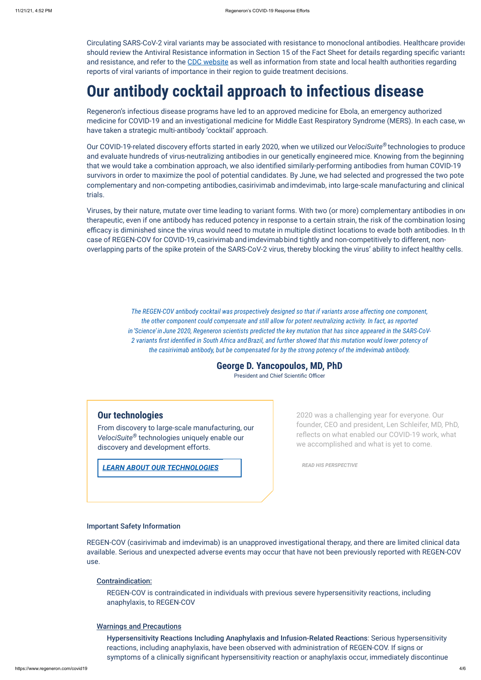<span id="page-3-0"></span>Circulating SARS-CoV-2 viral variants may be associated with resistance to monoclonal antibodies. Healthcare provider should review the Antiviral Resistance information in Section 15 of the Fact Sheet for details regarding specific variants and resistance, and refer to the [CDC website](https://www.cdc.gov/coronavirus/2019-ncov/transmission/variant-cases.html) as well as information from state and local health authorities regarding reports of viral variants of importance in their region to guide treatment decisions.

# **Our antibody cocktail approach to infectious disease**

Our COVID-19-related discovery efforts started in early 2020, when we utilized our VelociSuite® technologies to produce and evaluate hundreds of virus-neutralizing antibodies in our genetically engineered mice. Knowing from the beginning that we would take a combination approach, we also identified similarly-performing antibodies from human COVID-19 survivors in order to maximize the pool of potential candidates. By June, we had selected and progressed the two pote complementary and non-competing antibodies, casirivimab andimdevimab, into large-scale manufacturing and clinical trials.

Regeneron's infectious disease programs have led to an approved medicine for Ebola, an emergency authorized medicine for COVID-19 and an investigational medicine for Middle East Respiratory Syndrome (MERS). In each case, we have taken a strategic multi-antibody 'cocktail' approach.

Viruses, by their nature, mutate over time leading to variant forms. With two (or more) complementary antibodies in one therapeutic, even if one antibody has reduced potency in response to a certain strain, the risk of the combination losing efficacy is diminished since the virus would need to mutate in multiple distinct locations to evade both antibodies. In th case of REGEN-COV for COVID-19, casirivimab and imdevimab bind tightly and non-competitively to different, nonoverlapping parts of the spike protein of the SARS-CoV-2 virus, thereby blocking the virus' ability to infect healthy cells.

> *The REGEN-COV antibody cocktail was prospectively designed so that if variants arose affecting one component, the other component could compensate and still allow for potent neutralizing activity. In fact, as reported in'Science' inJune 2020, Regeneron scientists predicted the key mutation that has since appeared in the SARS-CoV-2 variants first identified in South Africa andBrazil, and further showed that this mutation would lower potency of the casirivimab antibody, but be compensated for by the strong potency of the imdevimab antibody.*

> > **George D. Yancopoulos, MD, PhD**

President and Chief Scientific Officer

# **Our technologies**

From discovery to large-scale manufacturing, our VelociSuite® technologies uniquely enable our discovery and development efforts.

*[LEARN ABOUT OUR TECHNOLOGIES](https://www.regeneron.com/science/technology)*

2020 was a challenging year for everyone. Our founder, CEO and president, Len Schleifer, MD, PhD, reflects on what enabled our COVID-19 work, what we accomplished and what is yet to come.

*[READ HIS PERSPECTIVE](https://www.regeneron.com/about/perspectives/regen-cov2-eua)*

### <span id="page-3-1"></span>Important Safety Information

REGEN-COV (casirivimab and imdevimab) is an unapproved investigational therapy, and there are limited clinical data available. Serious and unexpected adverse events may occur that have not been previously reported with REGEN-COV use.

#### Contraindication:

REGEN-COV is contraindicated in individuals with previous severe hypersensitivity reactions, including anaphylaxis, to REGEN-COV

### Warnings and Precautions

Hypersensitivity Reactions Including Anaphylaxis and Infusion-Related Reactions: Serious hypersensitivity reactions, including anaphylaxis, have been observed with administration of REGEN-COV. If signs or symptoms of a clinically significant hypersensitivity reaction or anaphylaxis occur, immediately discontinue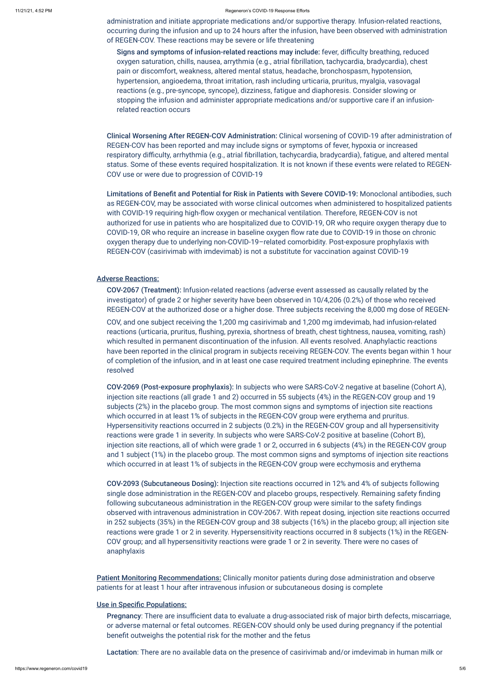#### 11/21/21, 4:52 PM Regeneron's COVID-19 Response Efforts

administration and initiate appropriate medications and/or supportive therapy. Infusion-related reactions, occurring during the infusion and up to 24 hours after the infusion, have been observed with administration of REGEN-COV. These reactions may be severe or life threatening

Signs and symptoms of infusion-related reactions may include: fever, difficulty breathing, reduced oxygen saturation, chills, nausea, arrythmia (e.g., atrial fibrillation, tachycardia, bradycardia), chest pain or discomfort, weakness, altered mental status, headache, bronchospasm, hypotension, hypertension, angioedema, throat irritation, rash including urticaria, pruritus, myalgia, vasovagal reactions (e.g., pre-syncope, syncope), dizziness, fatigue and diaphoresis. Consider slowing or stopping the infusion and administer appropriate medications and/or supportive care if an infusionrelated reaction occurs

Clinical Worsening After REGEN-COV Administration: Clinical worsening of COVID-19 after administration of REGEN-COV has been reported and may include signs or symptoms of fever, hypoxia or increased respiratory difficulty, arrhythmia (e.g., atrial fibrillation, tachycardia, bradycardia), fatigue, and altered mental status. Some of these events required hospitalization. It is not known if these events were related to REGEN-COV use or were due to progression of COVID-19

Limitations of Benefit and Potential for Risk in Patients with Severe COVID-19: Monoclonal antibodies, such as REGEN-COV, may be associated with worse clinical outcomes when administered to hospitalized patients with COVID-19 requiring high-flow oxygen or mechanical ventilation. Therefore, REGEN-COV is not authorized for use in patients who are hospitalized due to COVID-19, OR who require oxygen therapy due to COVID-19, OR who require an increase in baseline oxygen flow rate due to COVID-19 in those on chronic oxygen therapy due to underlying non-COVID-19–related comorbidity. Post-exposure prophylaxis with REGEN-COV (casirivimab with imdevimab) is not a substitute for vaccination against COVID-19

### Adverse Reactions:

COV-2067 (Treatment): Infusion-related reactions (adverse event assessed as causally related by the investigator) of grade 2 or higher severity have been observed in 10/4,206 (0.2%) of those who received REGEN-COV at the authorized dose or a higher dose. Three subjects receiving the 8,000 mg dose of REGEN-

**Patient Monitoring Recommendations:** Clinically monitor patients during dose administration and observe patients for at least 1 hour after intravenous infusion or subcutaneous dosing is complete

COV, and one subject receiving the 1,200 mg casirivimab and 1,200 mg imdevimab, had infusion-related reactions (urticaria, pruritus, flushing, pyrexia, shortness of breath, chest tightness, nausea, vomiting, rash) which resulted in permanent discontinuation of the infusion. All events resolved. Anaphylactic reactions have been reported in the clinical program in subjects receiving REGEN-COV. The events began within 1 hour of completion of the infusion, and in at least one case required treatment including epinephrine. The events resolved

COV-2069 (Post-exposure prophylaxis): In subjects who were SARS-CoV-2 negative at baseline (Cohort A), injection site reactions (all grade 1 and 2) occurred in 55 subjects (4%) in the REGEN-COV group and 19 subjects (2%) in the placebo group. The most common signs and symptoms of injection site reactions which occurred in at least 1% of subjects in the REGEN-COV group were erythema and pruritus. Hypersensitivity reactions occurred in 2 subjects (0.2%) in the REGEN-COV group and all hypersensitivity reactions were grade 1 in severity. In subjects who were SARS-CoV-2 positive at baseline (Cohort B), injection site reactions, all of which were grade 1 or 2, occurred in 6 subjects (4%) in the REGEN-COV group and 1 subject (1%) in the placebo group. The most common signs and symptoms of injection site reactions which occurred in at least 1% of subjects in the REGEN-COV group were ecchymosis and erythema

COV-2093 (Subcutaneous Dosing): Injection site reactions occurred in 12% and 4% of subjects following single dose administration in the REGEN-COV and placebo groups, respectively. Remaining safety finding following subcutaneous administration in the REGEN-COV group were similar to the safety findings observed with intravenous administration in COV-2067. With repeat dosing, injection site reactions occurred in 252 subjects (35%) in the REGEN-COV group and 38 subjects (16%) in the placebo group; all injection site reactions were grade 1 or 2 in severity. Hypersensitivity reactions occurred in 8 subjects (1%) in the REGEN-COV group; and all hypersensitivity reactions were grade 1 or 2 in severity. There were no cases of anaphylaxis

### Use in Specific Populations:

Pregnancy: There are insufficient data to evaluate a drug-associated risk of major birth defects, miscarriage, or adverse maternal or fetal outcomes. REGEN-COV should only be used during pregnancy if the potential benefit outweighs the potential risk for the mother and the fetus

Lactation: There are no available data on the presence of casirivimab and/or imdevimab in human milk or